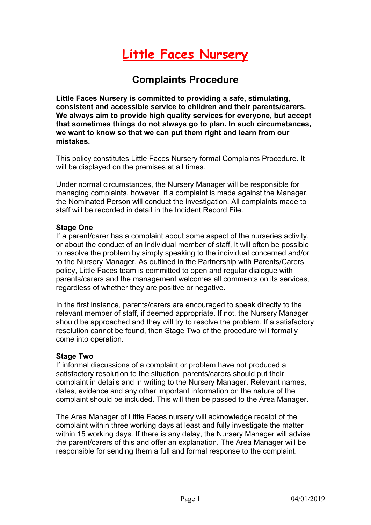# **Little Faces Nursery**

## **Complaints Procedure**

**Little Faces Nursery is committed to providing a safe, stimulating, consistent and accessible service to children and their parents/carers. We always aim to provide high quality services for everyone, but accept that sometimes things do not always go to plan. In such circumstances, we want to know so that we can put them right and learn from our mistakes.**

This policy constitutes Little Faces Nursery formal Complaints Procedure. It will be displayed on the premises at all times.

Under normal circumstances, the Nursery Manager will be responsible for managing complaints, however, If a complaint is made against the Manager, the Nominated Person will conduct the investigation. All complaints made to staff will be recorded in detail in the Incident Record File.

### **Stage One**

If a parent/carer has a complaint about some aspect of the nurseries activity, or about the conduct of an individual member of staff, it will often be possible to resolve the problem by simply speaking to the individual concerned and/or to the Nursery Manager. As outlined in the Partnership with Parents/Carers policy, Little Faces team is committed to open and regular dialogue with parents/carers and the management welcomes all comments on its services, regardless of whether they are positive or negative.

In the first instance, parents/carers are encouraged to speak directly to the relevant member of staff, if deemed appropriate. If not, the Nursery Manager should be approached and they will try to resolve the problem. If a satisfactory resolution cannot be found, then Stage Two of the procedure will formally come into operation.

### **Stage Two**

If informal discussions of a complaint or problem have not produced a satisfactory resolution to the situation, parents/carers should put their complaint in details and in writing to the Nursery Manager. Relevant names, dates, evidence and any other important information on the nature of the complaint should be included. This will then be passed to the Area Manager.

The Area Manager of Little Faces nursery will acknowledge receipt of the complaint within three working days at least and fully investigate the matter within 15 working days. If there is any delay, the Nursery Manager will advise the parent/carers of this and offer an explanation. The Area Manager will be responsible for sending them a full and formal response to the complaint.